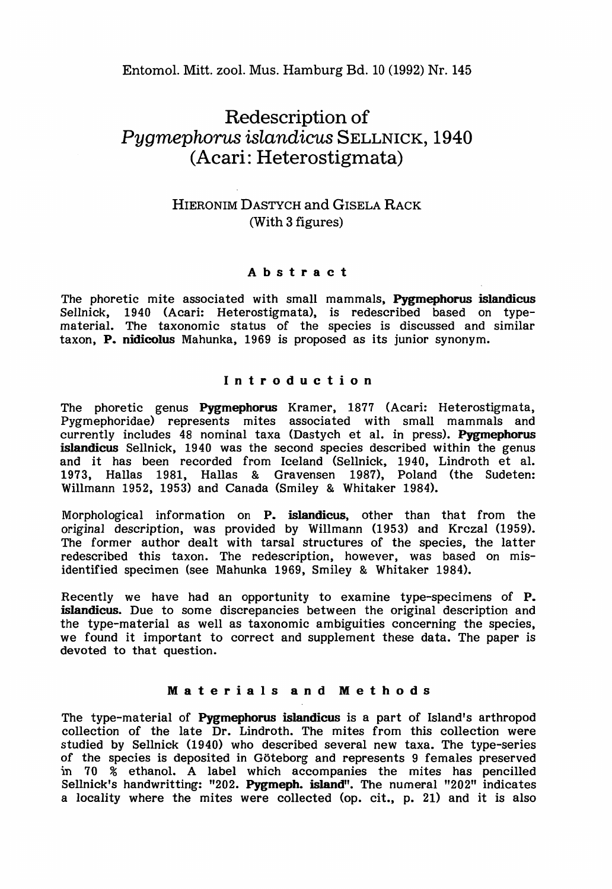Entomol. Mitt. zool. Mus. Hamburg Bd. 10 (1992) Nr. 145

# Redescription of *Pygmephorus islandicus* SELLNICK, 1940 (Acari: Heterostigmata)

# HIERONIM DASTYCH and GISELA RACK (With 3 figures)

# Abstract

The phoretic mite associated with small mammals, Pygmephorus islandicus Sellnick, 1940 (Acari: Heterostigmata), is redescribed based on typematerial. The taxonomic status of the species is discussed and similar taxon, P. nidicolus Mahunka, 1969 is proposed as its junior synonym.

## Introduction

The phoretic genus Pygmephorus Kramer, 1877 (Acari: Heterostigmata, Pygmephoridae) represents mites associated with small mammals and currently includes 48 nominal taxa (Dastych et al. in press). Pygmephorus islandicus Sellnick, 1940 was the second species described within the genus and it has been recorded from Iceland (Sellnick, 1940, Lindroth et al. 1973, Hallas 1981, Hallas & Gravensen 1987), Poland (the Sudeten: Willmann 1952, 1953) and Canada (Smiley & Whitaker 1984).

Morphological information on P. islandicus, other than that from the original description, was provided by Willmann (1953) and Krczal (1959). The former author dealt with tarsal structures of the species, the latter redescribed this taxon. The redescription, however, was based on misidentified specimen (see Mahunka 1969, Smiley & Whitaker 1984).

Recently we have had an opportunity to examine type-specimens of P. islandicus. Due to some discrepancies between the original description and the type-material as well as taxonomic ambiguities concerning the species, we found it important to correct and supplement these data. The paper is devoted to that question.

## Materials and Methods

The type-material of Pygmephorus islandicus is a part of Island's arthropod collection of the late Dr. Lindroth. The mites from this collection were studied by Sellnick (1940) who described several new taxa. The type-series of the species is deposited in Goteborg and represents 9 females preserved in 70 % ethanol. A label which accompanies the mites has pencilled Sellnick's handwritting: "202. Pygmeph. island". The numeral "202" indicates a locality where the mites were collected (op. cit., p. 21) and it is also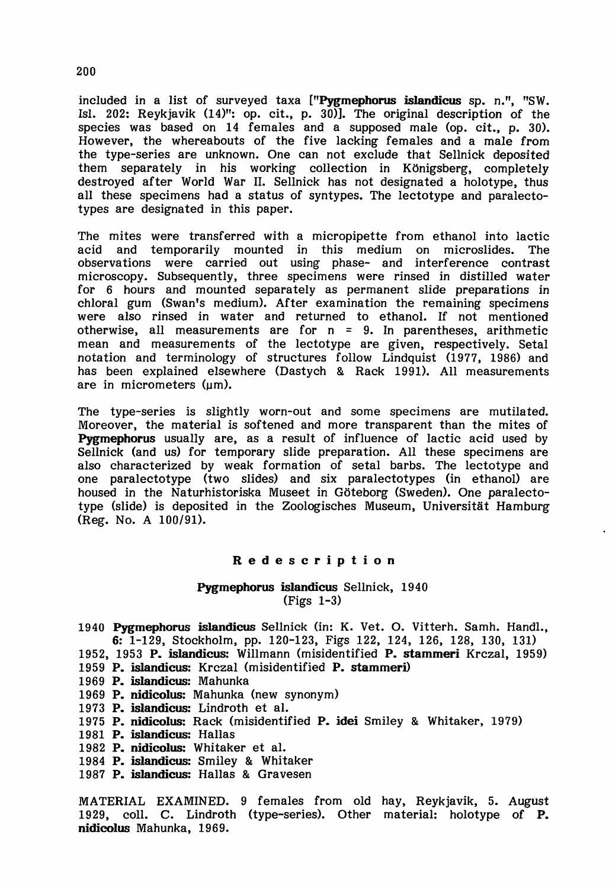included in a list of surveyed taxa ["Pygmephorus islandicus sp. n.", "SW. Isl. 202: Reykjavik  $(14)$ ": op. cit., p. 30)]. The original description of the species was based on 14 females and a supposed male (op. cit., p. 30). However, the whereabouts of the five lacking females and a male from the type-series are unknown. One can not exclude that Sellnick deposited separately in his working collection in Königsberg, completely destroyed after World War 11. Sellnick has not designated a holotype, thus all these specimens had a status of syntypes. The lectotype and paralectotypes are designated in this paper.

The mites were transferred with a micropipette from ethanol into lactic acid and temporarily mounted in this medium on microslides. The observations were carried out using phase- and interference contrast microscopy. SUbsequently, three specimens were rinsed in distilled water for 6 hours and mounted separately as permanent slide preparations in chloral gum (Swan's medium). After examination the remaining specimens were also rinsed in water and returned to ethanol. If not mentioned otherwise, all measurements are for  $n = 9$ . In parentheses, arithmetic mean and measurements of the lectotype are given, respectively. Setal notation and terminology of structures follow Lindquist (1977, 1986) and has been explained elsewhere (Dastych & Rack 1991). All measurements are in micrometers (um).

The type-series is slightly worn-out and some specimens are mutilated. Moreover, the material is softened and more transparent than the mites of Pygmephorus usually are, as a result of influence of lactic acid used by Sellnick (and us) for temporary slide preparation. All these specimens are also characterized by weak formation of setal barbs. The lectotype and one paralectotype (two slides) and six paralectotypes (in ethanol) are housed in the Naturhistoriska Museet in Goteborg (Sweden). One paralectotype (slide) is deposited in the Zoologisches Museum, Universitat Hamburg (Reg. No. A 100/91).

#### Redescription

#### Pygmephorus islandicus Sellnick, 1940 (Figs 1-3)

- 1940 Pygmephorus islandicus Sellnick (in: K. Vet. O. Vitterh. Samh. Hand!., 6: 1-129, Stockholm, pp. 120-123, Figs 122, 124, 126, 128, 130, 131)
- 1952, 1953 P. islandicus: Willmann (misidentified P. stammeri Krczal, 1959)
- 1959 P. islandicus: Krczal (misidentified P. stammeri)
- 1969 P. islandicus: Mahunka
- 1969 P. nidicolus: Mahunka (new synonym)
- 1973 P. islandicus: Lindroth et aI.
- 1975 P. nidicolus: Rack (misidentified P. idei Smiley & Whitaker, 1979)
- 1981 P. islandicus: Hallas
- 1982 P. nidicolus: Whitaker et al.
- 1984 P. islandicus: Smiley & Whitaker
- 1987 P. islandicus: Hallas & Gravesen

MATERIAL EXAMINED. 9 females from old hay, Reykjavik, 5. August 1929, colI. C. Lindroth (type-series). Other material: holotype of P. nidicolus Mahunka, 1969.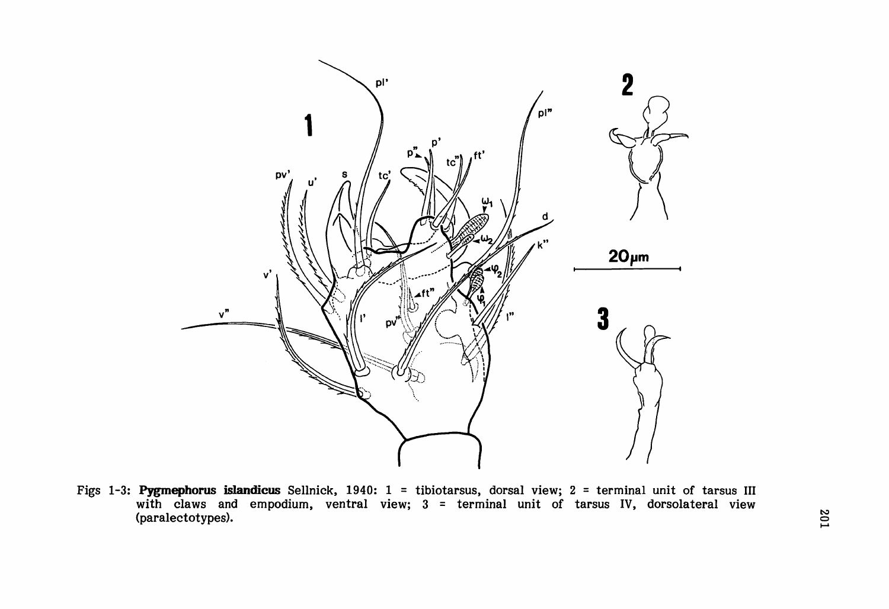

Figs 1-3: Pygmephorus islandicus Sellnick, 1940: 1 = tibiotarsus, dorsal view; 2 = terminal unit of tarsus III with claws and empodium, ventral view; 3 = terminal unit of tarsus IV, dorsolateral view (paralectotypes).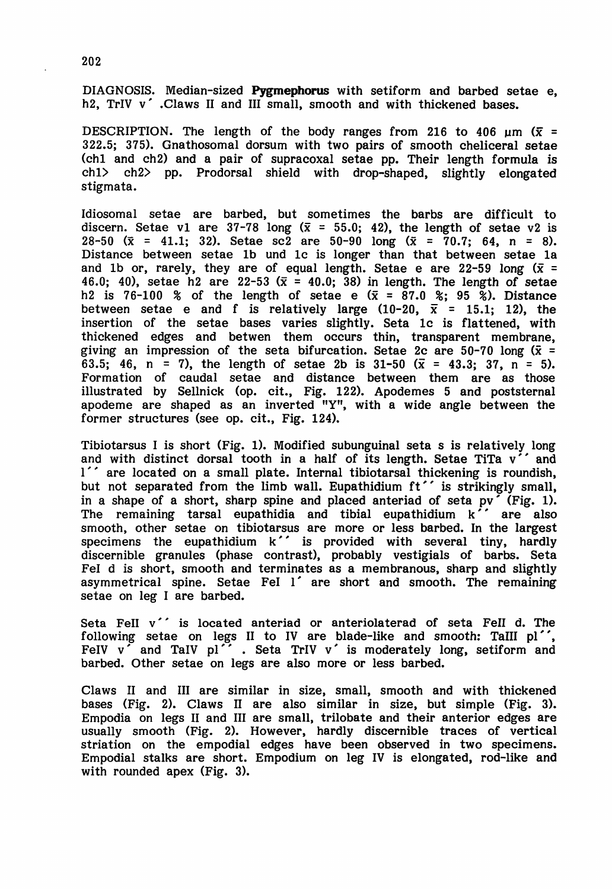DIAGNOSIS. Median-sized **Pygmephorus** with setiform and barbed setae e, h2, TrIV v'.Claws II and III small, smooth and with thickened bases.

DESCRIPTION. The length of the body ranges from 216 to 406  $\mu$ m ( $\bar{x}$  = 322.5; 375). Gnathosomal dorsum with two pairs of smooth cheliceraI setae (chI and ch2) and a pair of supracoxal setae pp. Their length formula is chI> ch2> pp. Prodorsal shield with drop-shaped, slightly elongated stigmata.

Idiosomal setae are barbed, but sometimes the barbs are difficult to discern. Setae v1 are 37-78 long ( $\bar{x}$  = 55.0; 42), the length of setae v2 is 28-50 ( $\bar{x}$  = 41.1; 32). Setae sc2 are 50-90 long ( $\bar{x}$  = 70.7; 64, n = 8). Distance between setae 1b und 1c is longer than that between setae la and 1b or, rarely, they are of equal length. Setae e are 22-59 long  $(\bar{x} =$ 46.0: 40), setae h2 are 22-53 ( $\bar{x}$  = 40.0; 38) in length. The length of setae h2 is 76-100 % of the length of setae e  $(\bar{x} = 87.0 \text{ %}; 95 \text{ %})$ . Distance between setae e and f is relatively large  $(10-20, \bar{x} = 15.1; 12)$ , the insertion of the setae bases varies slightly. Seta 1c is flattened, with thickened edges and betwen them occurs thin, transparent membrane, giving an impression of the seta bifurcation. Setae 2c are  $50-70$  long ( $\bar{x}$  = 63.5; 46, n = 7), the length of setae 2b is 31-50  $(\bar{x} = 43.3; 37, n = 5)$ . Formation of caudal setae and distance between them are as those illustrated by Sellnick (op. cit., Fig. 122). Apodemes 5 and poststernal apodeme are shaped as an inverted "Y", with a wide angle between the former structures (see op. cit., Fig. 124).

Tibiotarsus I is short (Fig. 1). Modified subunguinal seta s is relatively long and with distinct dorsal tooth in a half of its length. Setae TiTa  $v'$  and I" are located on a small plate. Internal tibiotarsal thickening is roundish, but not separated from the limb wall. Eupathidium ft'' is strikingly small, in a shape of a short, sharp spine and placed anteriad of seta pv' (Fig. 1). The remaining tarsal eupathidia and tibial eupathidium k" are also smooth, other setae on tibiotarsus are more or less barbed. In the largest specimens the eupathidium k $\hat{\phantom{x}}$  is provided with several tiny, hardly discernible granules (phase contrast), probably vestigials of barbs. Seta Fel d is short, smooth and terminates as a membranous, sharp and slightly asymmetrical spine. Setae FeI 1' are short and smooth. The remaining setae on leg I are barbed.

Seta FeII v'' is located anteriad or anteriolaterad of seta FeII d. The following setae on legs II to IV are blade-like and smooth: TaIII pl'', FeIV v and TaIV pl''. Seta TrIV v' is moderately long, setiform and barbed. Other setae on legs are also more or less barbed.

Claws <sup>11</sup> and III are similar in size, small, smooth and with thickened bases (Fig. 2). Claws <sup>11</sup> are also similar in size, but simple (Pig. 3). Empodia on legs <sup>11</sup> and III are small, trilobate and their anterior edges are usually smooth (Fig. 2). However, hardly discernible traces of vertical striation on the empodial edges have been observed in two specimens. Empodial stalks are short. Empodium on leg IV is elongated, rod-like and with rounded apex (Pig. 3).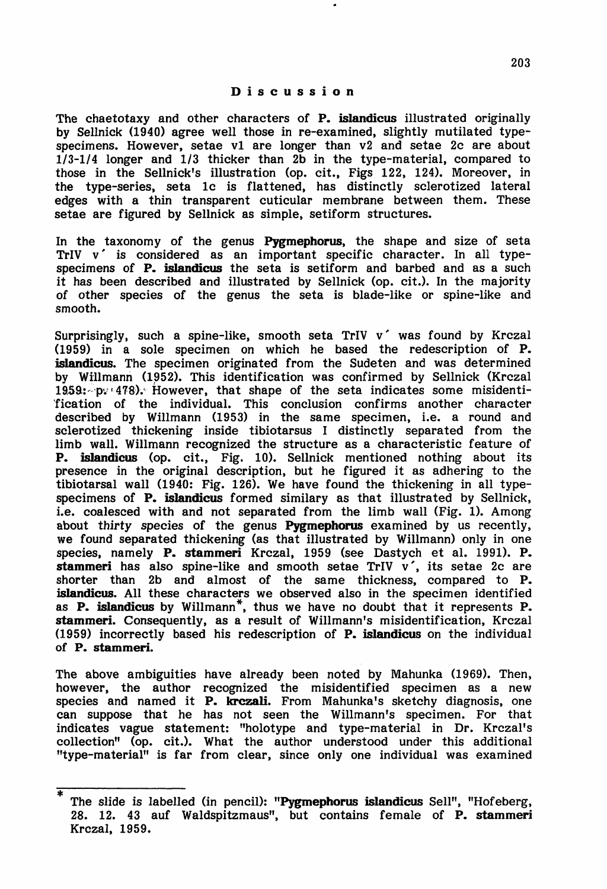#### Discussion

The chaetotaxy and other characters of P. islandicus illustrated originally by Sellnick (1940) agree well those in re-examined, slightly mutilated typespecimens. However, setae vI are longer than v2 and setae 2c are about 1/3-1/4 longer and *1/3* thicker than 2b in the type-material, compared to those in the Sellnick's illustration (op. cit., Figs 122, 124). Moreover, in the type-series, seta 1c is flattened, has distinctly sclerotized lateral edges with a thin transparent cuticular membrane between them. These setae are figured by Sellnick as simple, setiform structures.

In the taxonomy of the genus Pygmephorus, the shape and size of seta TrIV v' is considered as an important specific character. In all typespecimens of P. islandicus the seta is setiform and barbed and as a such it has been described and illustrated by Sellnick (op. cit.). In the majority of other species of the genus the seta is blade-like or spine-like and smooth.

Surprisingly, such a spine-like, smooth seta TrIV v' was found by Krczal (1959) in a sole specimen on which he based the redescription of P. islandicus. The specimen originated from the Sudeten and was determined by Willmann (1952). This identification was confirmed by Sellnick (Krczal 1959: p. 478). However, that shape of the seta indicates some misidenti-'fication of the individual. This conclusion confirms another character described by Willmann (1953) in the same specimen, i.e. a round and sclerotized thickening inside tibiotarsus I distinctly separated from the limb wall. Willmann recognized the structure as a characteristic feature of P. islandicus (op. cit., Fig. 10). Sellnick mentioned nothing about its presence in the original description, but he figured it as adhering to the tibiotarsal wall (1940: Fig. 126). We have found the thickening in all typespecimens of P. islandicus formed similary as that illustrated by Sellnick, i.e. coalesced with and not separated from the limb wall (Fig. 1). Among about thirty species of the genus Pygmephorus examined by us recently, we found separated thickening (as that illustrated by Willmann) only in one species, namely **P. stammeri** Krczal, 1959 (see Dastych et al. 1991). **P.** stammeri has also spine-like and smooth setae TrIV  $v'$ , its setae 2c are shorter than 2b and almost of the same thickness, compared to P. islandicus. All these characters we observed also in the specimen identified as P. islandicus by WilImann\*, thus we have no doubt that it represents P. stammeri. Consequently, as a result of Willmann's misidentification, Krczal (1959) incorrectly based his redescription of P. islandicus on the individual of P. stammeri.

The above ambiguities have already been noted by Mahunka (1969). Then, however, the author recognized the misidentified specimen as a new species and named it P. krczali. From Mahunka's sketchy diagnosis, one can suppose that he has not seen the Willmann's specimen. For that indicates vague statement: "holotype and type-material in Dr. Krczal's collection" (op. cit.). What the author understood under this additional "type-material" is far from clear, since only one individual was examined

The slide is labelled (in pencil): "Pygmephorus islandicus Sell", "Hofeberg, 28. 12. 43 auf Waldspitzmaus", but contains female of P. stammeri Krczal, 1959.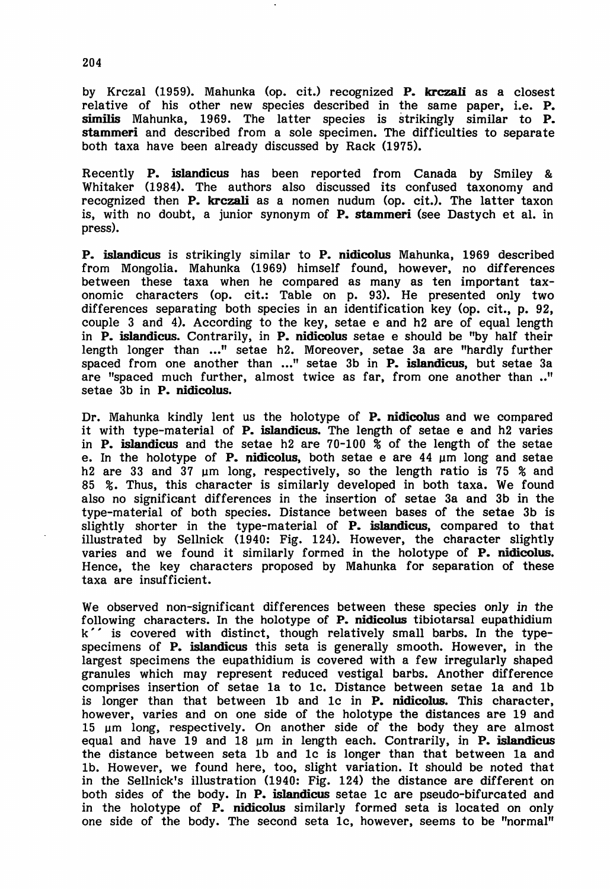by Krczal (1959). Mahunka (op. cit.) recognized P. krczali as a closest relative of his other new species described in the same paper, i.e. P. similis Mahunka, 1969. The latter species is strikingly similar to P. stammeri and described from a sole specimen. The difficulties to separate both taxa have been already discussed by Rack (1975).

Recently P. islandicus has been reported from Canada by Smiley & Whitaker (1984). The authors also discussed its confused taxonomy and recognized then P. krczali as a nomen nudum (op. cit.). The latter taxon is, with no doubt, a junior synonym of P. stammeri (see Dastych et al. in press).

P. islandicus is strikingly similar to P. nidicolus Mahunka, 1969 described from Mongolia. Mahunka (1969) himself found, however, no differences between these taxa when he compared as many as ten important taxonomic characters (op. cit.: Table on p. 93). He presented only two differences separating both species in an identification key (op. cit., p. 92, couple 3 and 4). According to the key, setae e and h2 are of equal length in P. islandicus. Contrarily, in P. nidicolus setae e should be "by half their length longer than ..." setae h2. Moreover, setae 3a are "hardly further spaced from one another than ..." setae 3b in **P. islandicus**, but setae 3a are "spaced much further, almost twice as far, from one another than .." setae 3b in P. nidicolus.

Dr. Mahunka kindly lent us the holotype of P. nidicolus and we compared it with type-material of P. islandicus. The length of setae e and h2 varies in **P. islandicus** and the setae h2 are  $70-100\,$  % of the length of the setae e. In the holotype of **P. nidicolus**, both setae e are  $44 \mu m$  long and setae h2 are 33 and 37  $\mu$ m long, respectively, so the length ratio is 75 % and 85 %. Thus, this character is similarly developed in both taxa. We found also no significant differences in the insertion of setae 3a and 3b in the type-material of both species. Distance between bases of the setae 3b is slightly shorter in the type-material of P. islandicus, compared to that illustrated by Sellnick (1940: Fig. 124). However, the character slightly varies and we found it similarly formed in the holotype of P. nidicolus. Hence, the key characters proposed by Mahunka for separation of these taxa are insufficient.

We observed non-significant differences between these species only in the following characters. In the holotype of **P. nidicolus** tibiotarsal eupathidium k" is covered with distinct, though relatively small barbs. In the typespecimens of P. islandicus this seta is generally smooth. However, in the largest specimens the eupathidium is covered with a few irregularly shaped granules which may represent reduced vestigal barbs. Another difference comprises insertion of setae la to lc. Distance between setae la and 1b is longer than that between lb and le in P. nidicolus. This character, however, varies and on one side of the holotype the distances are 19 and 15  $\mu$ m long, respectively. On another side of the body they are almost equal and have 19 and 18 um in length each. Contrarily, in P. islandicus the distance between seta 1b and lc is longer than that between la and lb. However, we found here, too, slight variation. It should be noted that in the Sellnick's illustration (1940: Fig. 124) the distance are different on both sides of the body. In P. islandicus setae lc are pseudo-bifurcated and in the holotype of P. nidicolus similarly formed seta is located on only one side of the body. The second seta lc, however, seems to be "normal"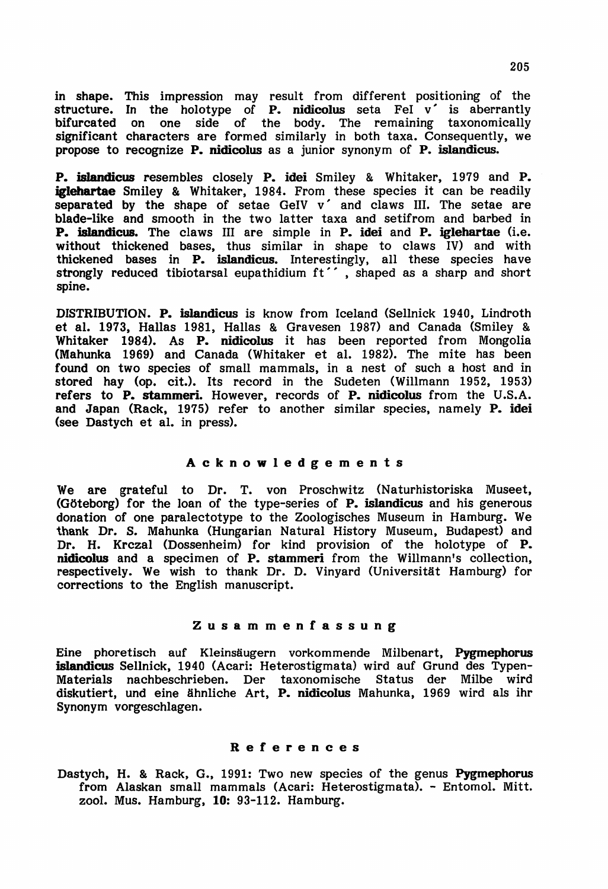in shape. This impression may result from different positioning of the structure. In the holotype of **P.** nidicolus seta  $\text{Fe}$   $\mathbf{v}'$  is aberrantly bifurcated on one side of the body. The remaining taxonomically significant characters are formed similarly in both taxa. Consequently, we propose to recognize P. nidicolus as a junior synonym of P. islandicus.

P. islandicus resembles closely P. idei Smiley & Whitaker, 1979 and P. iglehartae Smiley & Whitaker, 1984. From these species it can be readily separated by the shape of setae GeIV  $v'$  and claws III. The setae are blade-like and smooth in the two latter taxa and setifrom and barbed in P. islandicus. The claws III are simple in P. idei and P. iglehartae (i.e. without thickened bases, thus similar in shape to claws IV) and with thickened bases in **P. islandicus**. Interestingly, all these species have strongly reduced tibiotarsal eupathidium ft'', shaped as a sharp and short spine.

DISTRIBUTION. P. islandicus is know from Iceland (Sellnick 1940, Lindroth et al. 1973, Hallas 1981, Hallas & Gravesen 1987) and Canada (Smiley & Whitaker 1984). As P. nidicolus it has been reported from Mongolia (Mahunka 1969) and Canada (Whitaker et al. 1982). The mite has been found on two species of small mammals, in a nest of such a host and in stored hay (op. cit.). Its record in the Sudeten (Willmann 1952, 1953) refers to P. stammeri. However, records of P. nidicolus from the U.S.A. and Japan (Rack, 1975) refer to another similar species, namely P. idei (see Dastych et al. in press).

#### Acknowledgements

We are grateful to Dr. T. von Proschwitz (Naturhistoriska Museet,  $(Göteborg)$  for the loan of the type-series of **P. islandicus** and his generous donation of one paralectotype to the Zoologisches Museum in Hamburg. We thank Dr. S. Mahunka (Hungarian Natural History Museum, Budapest) and Dr. H. Krczal (Dossenheim) for kind provision of the holotype of P. nidicolus and a specimen of P. stammeri from the Willmann's collection, respectively. We wish to thank Dr. D. Vinyard (Universität Hamburg) for corrections to the English manuscript.

#### Zusammenfassung

Eine phoretisch auf Kleinsäugern vorkommende Milbenart, Pygmephorus islandicus Sellnick, 1940 (Acari: Heterostigmata) wird auf Grund des Typen-Materials nachbeschrieben. Der taxonomische Status der Milbe wird diskutiert, und eine ähnliche Art, P. nidicolus Mahunka, 1969 wird als ihr Synonym vorgeschlagen.

#### References

Dastych, H. & Rack, G., 1991: Two new species of the genus Pygmephorus from Alaskan small mammals (Acari: Heterostigmata). - Entomol. Mitt. zool. Mus. Hamburg, 10: 93-112. Hamburg.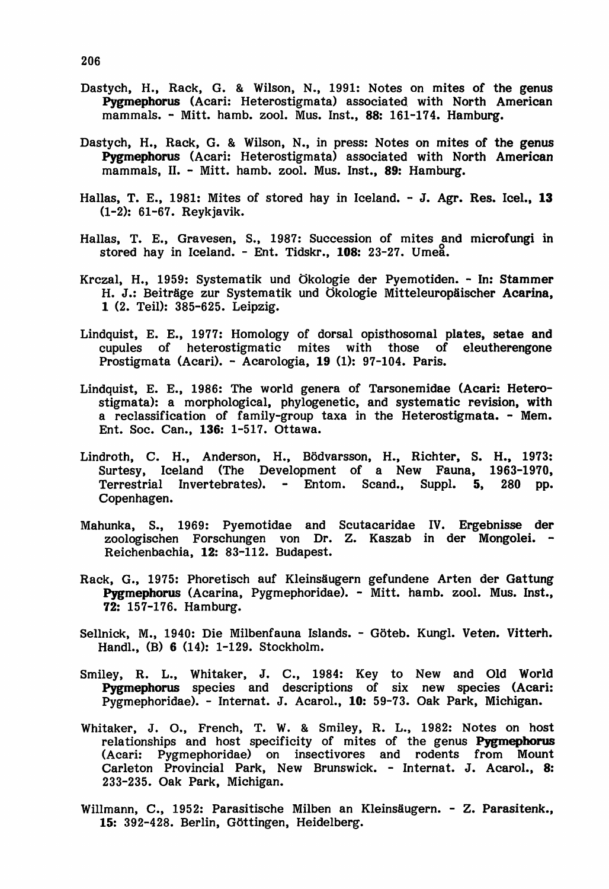- Dastych, H., Rack, G. & Wilson, N., 1991: Notes on mites of the genus Pygmephorus (Acari: Heterostigmata) associated with North American mammals. - Mitt. hamb. zool. Mus. Inst., 88: 161-174. Hamburg.
- Dastych, H., Rack, G. & Wilson, N., in press: Notes on mites of the genus Pygmephorus (Acari: Heterostigmata) associated with North American mammals, 11. - Mitt. hamb. zool. Mus. Inst., 89: Hamburg.
- Hallas, T. E., 1981: Mites of stored hay in Iceland. J. Agr. Res. Icel., 13 (1-2): 61-67. Reykjavik.
- Hallas, T. E., Gravesen, S., 1987: Succession of mites and microfungi in stored hay in Iceland. - Ent. Tidskr., 108: 23-27. Ume&.
- Krczal, H., 1959: Systematik und Okologie der Pyemotiden. In: Stammer H. J.: Beiträge zur Systematik und Ökologie Mitteleuropäischer Acarina. 1 (2. Teil): 385-625. Leipzig.
- Lindquist, E. E., 1977: Homology of dorsal opisthosomal plates, setae and cupules of heterostigmatic mites with those of eleutherengone Prostigmata (Acari). - Acarologia, 19 (1): 97-104. Paris.
- Lindquist, E. E., 1986: The world genera of Tarsonemidae (Acari: Heterostigmata): a morphological, phylogenetic, and systematic revision, with a reclassification of family-group taxa in the Heterostigmata. - Mem. Ent. Soc. Can., 136: 1-517. Ottawa.
- Lindroth, C. H., Anderson, H., Bödvarsson, H., Richter, S. H., 1973: Surtesy, Iceland (The Development of a New Fauna, 1963-1970, Terrestrial Invertebrates). - Entom. Scand., Suppl. 5, Copenhagen.
- Mahunka, S., 1969: Pyemotidae and Scutacaridae IV. Ergebnisse der zoologischen Forschungen von Dr. Z. Kaszab in der Mongolei. - Reichenbachia, 12: 83-112. BUdapest.
- Rack, G., 1975: Phoretisch auf Kleinsäugern gefundene Arten der Gattung Pygmephorus (Acarina, Pygmephoridae). - Mitt. hamb. zool. Mus. Inst., 72: 157-176. Hamburg.
- Sellnick, M., 1940: Die Milbenfauna Islands. Göteb. Kungl. Veten. Vitterh. Handl., (B) 6 (14): 1-129. Stockholm.
- Smiley, R. L., Whitaker, J. C., 1984: Key to New and Old World Pygmephorus species and descriptions of six new species (Acari: Pygmephoridae). - Internat. J. Acarol., 10: 59-73. Oak Park, Michigan.
- Whitaker, J. 0., French, T. W. & Smiley, R. L., 1982: Notes on host relationships and host specificity of mites of the genus Pygmephorus (Acari: Pygmephoridae) on insectivores and rodents from Mount Carleton Provincial Park, New Brunswick. - Internat. J. Acarol., 8: 233-235. Oak Park, Michigan.
- Willmann, C., 1952: Parasitische Milben an Kleinsäugern. Z. Parasitenk., 15: 392-428. Berlin, Gottingen, Heidelberg.